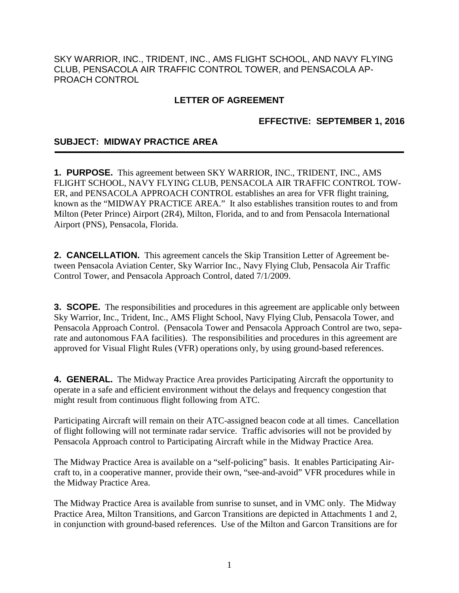SKY WARRIOR, INC., TRIDENT, INC., AMS FLIGHT SCHOOL, AND NAVY FLYING CLUB, PENSACOLA AIR TRAFFIC CONTROL TOWER, and PENSACOLA AP-PROACH CONTROL

# **LETTER OF AGREEMENT**

## **EFFECTIVE: SEPTEMBER 1, 2016**

## **SUBJECT: MIDWAY PRACTICE AREA**

**1. PURPOSE.** This agreement between SKY WARRIOR, INC., TRIDENT, INC., AMS FLIGHT SCHOOL, NAVY FLYING CLUB, PENSACOLA AIR TRAFFIC CONTROL TOW-ER, and PENSACOLA APPROACH CONTROL establishes an area for VFR flight training, known as the "MIDWAY PRACTICE AREA." It also establishes transition routes to and from Milton (Peter Prince) Airport (2R4), Milton, Florida, and to and from Pensacola International Airport (PNS), Pensacola, Florida.

**2. CANCELLATION.** This agreement cancels the Skip Transition Letter of Agreement between Pensacola Aviation Center, Sky Warrior Inc., Navy Flying Club, Pensacola Air Traffic Control Tower, and Pensacola Approach Control, dated 7/1/2009.

**3. SCOPE.** The responsibilities and procedures in this agreement are applicable only between Sky Warrior, Inc., Trident, Inc., AMS Flight School, Navy Flying Club, Pensacola Tower, and Pensacola Approach Control. (Pensacola Tower and Pensacola Approach Control are two, separate and autonomous FAA facilities). The responsibilities and procedures in this agreement are approved for Visual Flight Rules (VFR) operations only, by using ground-based references.

**4. GENERAL.** The Midway Practice Area provides Participating Aircraft the opportunity to operate in a safe and efficient environment without the delays and frequency congestion that might result from continuous flight following from ATC.

Participating Aircraft will remain on their ATC-assigned beacon code at all times. Cancellation of flight following will not terminate radar service. Traffic advisories will not be provided by Pensacola Approach control to Participating Aircraft while in the Midway Practice Area.

The Midway Practice Area is available on a "self-policing" basis. It enables Participating Aircraft to, in a cooperative manner, provide their own, "see-and-avoid" VFR procedures while in the Midway Practice Area.

The Midway Practice Area is available from sunrise to sunset, and in VMC only. The Midway Practice Area, Milton Transitions, and Garcon Transitions are depicted in Attachments 1 and 2, in conjunction with ground-based references. Use of the Milton and Garcon Transitions are for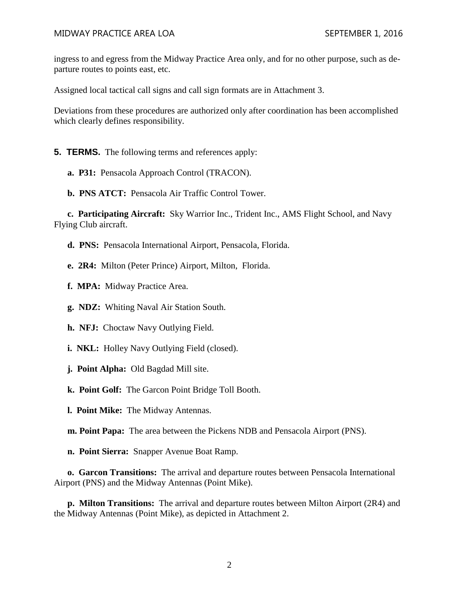#### MIDWAY PRACTICE AREA LOA SEPTEMBER 1, 2016

ingress to and egress from the Midway Practice Area only, and for no other purpose, such as departure routes to points east, etc.

Assigned local tactical call signs and call sign formats are in Attachment 3.

Deviations from these procedures are authorized only after coordination has been accomplished which clearly defines responsibility.

**5. TERMS.** The following terms and references apply:

**a. P31:** Pensacola Approach Control (TRACON).

**b. PNS ATCT:** Pensacola Air Traffic Control Tower.

**c. Participating Aircraft:** Sky Warrior Inc., Trident Inc., AMS Flight School, and Navy Flying Club aircraft.

**d. PNS:** Pensacola International Airport, Pensacola, Florida.

**e. 2R4:** Milton (Peter Prince) Airport, Milton, Florida.

**f. MPA:** Midway Practice Area.

**g. NDZ:** Whiting Naval Air Station South.

**h. NFJ:** Choctaw Navy Outlying Field.

**i. NKL:** Holley Navy Outlying Field (closed).

**j. Point Alpha:** Old Bagdad Mill site.

**k. Point Golf:** The Garcon Point Bridge Toll Booth.

**l. Point Mike:** The Midway Antennas.

**m. Point Papa:** The area between the Pickens NDB and Pensacola Airport (PNS).

**n. Point Sierra:** Snapper Avenue Boat Ramp.

**o. Garcon Transitions:** The arrival and departure routes between Pensacola International Airport (PNS) and the Midway Antennas (Point Mike).

**p. Milton Transitions:** The arrival and departure routes between Milton Airport (2R4) and the Midway Antennas (Point Mike), as depicted in Attachment 2.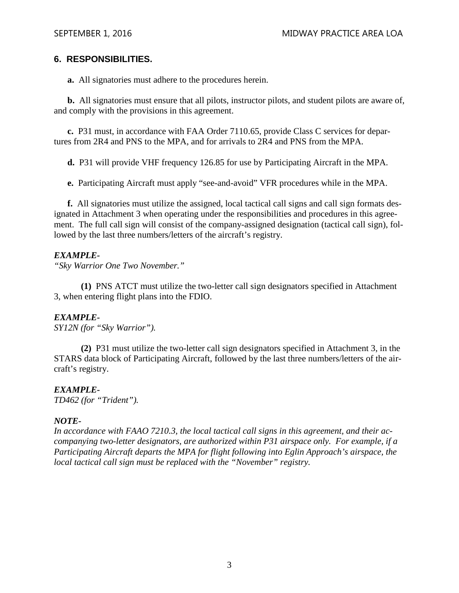## **6. RESPONSIBILITIES.**

**a.** All signatories must adhere to the procedures herein.

**b.** All signatories must ensure that all pilots, instructor pilots, and student pilots are aware of, and comply with the provisions in this agreement.

**c.** P31 must, in accordance with FAA Order 7110.65, provide Class C services for departures from 2R4 and PNS to the MPA, and for arrivals to 2R4 and PNS from the MPA.

**d.** P31 will provide VHF frequency 126.85 for use by Participating Aircraft in the MPA.

**e.** Participating Aircraft must apply "see-and-avoid" VFR procedures while in the MPA.

**f.** All signatories must utilize the assigned, local tactical call signs and call sign formats designated in Attachment 3 when operating under the responsibilities and procedures in this agreement. The full call sign will consist of the company-assigned designation (tactical call sign), followed by the last three numbers/letters of the aircraft's registry.

### *EXAMPLE-*

*"Sky Warrior One Two November."* 

 **(1)** PNS ATCT must utilize the two-letter call sign designators specified in Attachment 3, when entering flight plans into the FDIO.

## *EXAMPLE-*

*SY12N (for "Sky Warrior").* 

 **(2)** P31 must utilize the two-letter call sign designators specified in Attachment 3, in the STARS data block of Participating Aircraft, followed by the last three numbers/letters of the aircraft's registry.

## *EXAMPLE-*

*TD462 (for "Trident").* 

## *NOTE-*

*In accordance with FAAO 7210.3, the local tactical call signs in this agreement, and their accompanying two-letter designators, are authorized within P31 airspace only. For example, if a Participating Aircraft departs the MPA for flight following into Eglin Approach's airspace, the local tactical call sign must be replaced with the "November" registry.*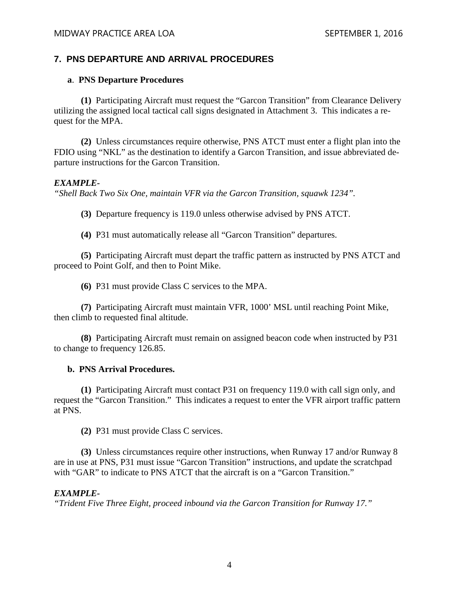# **7. PNS DEPARTURE AND ARRIVAL PROCEDURES**

### **a**. **PNS Departure Procedures**

**(1)** Participating Aircraft must request the "Garcon Transition" from Clearance Delivery utilizing the assigned local tactical call signs designated in Attachment 3. This indicates a request for the MPA.

**(2)** Unless circumstances require otherwise, PNS ATCT must enter a flight plan into the FDIO using "NKL" as the destination to identify a Garcon Transition, and issue abbreviated departure instructions for the Garcon Transition.

### *EXAMPLE-*

*"Shell Back Two Six One, maintain VFR via the Garcon Transition, squawk 1234".* 

**(3)** Departure frequency is 119.0 unless otherwise advised by PNS ATCT.

**(4)** P31 must automatically release all "Garcon Transition" departures.

**(5)** Participating Aircraft must depart the traffic pattern as instructed by PNS ATCT and proceed to Point Golf, and then to Point Mike.

**(6)** P31 must provide Class C services to the MPA.

 **(7)** Participating Aircraft must maintain VFR, 1000' MSL until reaching Point Mike, then climb to requested final altitude.

**(8)** Participating Aircraft must remain on assigned beacon code when instructed by P31 to change to frequency 126.85.

### **b. PNS Arrival Procedures.**

**(1)** Participating Aircraft must contact P31 on frequency 119.0 with call sign only, and request the "Garcon Transition." This indicates a request to enter the VFR airport traffic pattern at PNS.

**(2)** P31 must provide Class C services.

**(3)** Unless circumstances require other instructions, when Runway 17 and/or Runway 8 are in use at PNS, P31 must issue "Garcon Transition" instructions, and update the scratchpad with "GAR" to indicate to PNS ATCT that the aircraft is on a "Garcon Transition."

### *EXAMPLE-*

*"Trident Five Three Eight, proceed inbound via the Garcon Transition for Runway 17."*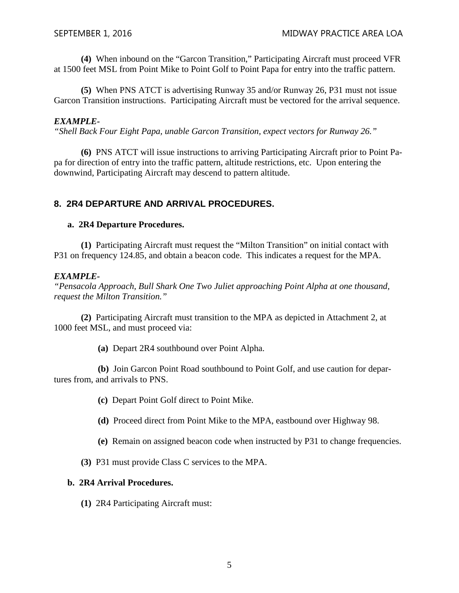**(4)** When inbound on the "Garcon Transition," Participating Aircraft must proceed VFR at 1500 feet MSL from Point Mike to Point Golf to Point Papa for entry into the traffic pattern.

**(5)** When PNS ATCT is advertising Runway 35 and/or Runway 26, P31 must not issue Garcon Transition instructions. Participating Aircraft must be vectored for the arrival sequence.

### *EXAMPLE-*

*"Shell Back Four Eight Papa, unable Garcon Transition, expect vectors for Runway 26."* 

**(6)** PNS ATCT will issue instructions to arriving Participating Aircraft prior to Point Papa for direction of entry into the traffic pattern, altitude restrictions, etc. Upon entering the downwind, Participating Aircraft may descend to pattern altitude.

## **8. 2R4 DEPARTURE AND ARRIVAL PROCEDURES.**

#### **a. 2R4 Departure Procedures.**

**(1)** Participating Aircraft must request the "Milton Transition" on initial contact with P31 on frequency 124.85, and obtain a beacon code. This indicates a request for the MPA.

#### *EXAMPLE-*

*"Pensacola Approach, Bull Shark One Two Juliet approaching Point Alpha at one thousand, request the Milton Transition."* 

**(2)** Participating Aircraft must transition to the MPA as depicted in Attachment 2, at 1000 feet MSL, and must proceed via:

**(a)** Depart 2R4 southbound over Point Alpha.

**(b)** Join Garcon Point Road southbound to Point Golf, and use caution for departures from, and arrivals to PNS.

- **(c)** Depart Point Golf direct to Point Mike.
- **(d)** Proceed direct from Point Mike to the MPA, eastbound over Highway 98.
- **(e)** Remain on assigned beacon code when instructed by P31 to change frequencies.
- **(3)** P31 must provide Class C services to the MPA.

#### **b. 2R4 Arrival Procedures.**

**(1)** 2R4 Participating Aircraft must: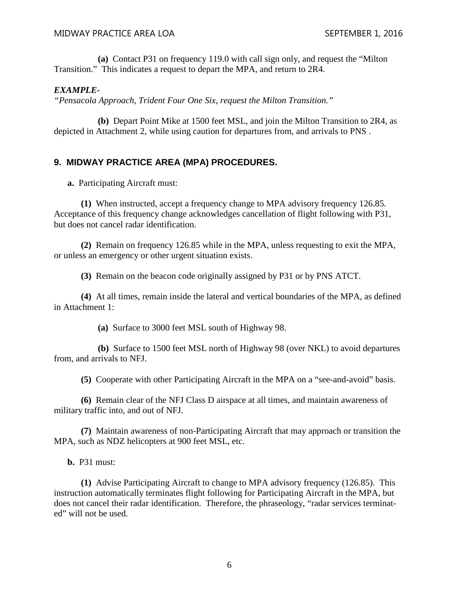**(a)** Contact P31 on frequency 119.0 with call sign only, and request the "Milton Transition." This indicates a request to depart the MPA, and return to 2R4.

#### *EXAMPLE-*

*"Pensacola Approach, Trident Four One Six, request the Milton Transition."* 

**(b)** Depart Point Mike at 1500 feet MSL, and join the Milton Transition to 2R4, as depicted in Attachment 2, while using caution for departures from, and arrivals to PNS .

## **9. MIDWAY PRACTICE AREA (MPA) PROCEDURES.**

**a.** Participating Aircraft must:

**(1)** When instructed, accept a frequency change to MPA advisory frequency 126.85. Acceptance of this frequency change acknowledges cancellation of flight following with P31, but does not cancel radar identification.

**(2)** Remain on frequency 126.85 while in the MPA, unless requesting to exit the MPA, or unless an emergency or other urgent situation exists.

**(3)** Remain on the beacon code originally assigned by P31 or by PNS ATCT.

**(4)** At all times, remain inside the lateral and vertical boundaries of the MPA, as defined in Attachment 1:

**(a)** Surface to 3000 feet MSL south of Highway 98.

**(b)** Surface to 1500 feet MSL north of Highway 98 (over NKL) to avoid departures from, and arrivals to NFJ.

**(5)** Cooperate with other Participating Aircraft in the MPA on a "see-and-avoid" basis.

**(6)** Remain clear of the NFJ Class D airspace at all times, and maintain awareness of military traffic into, and out of NFJ.

**(7)** Maintain awareness of non-Participating Aircraft that may approach or transition the MPA, such as NDZ helicopters at 900 feet MSL, etc.

**b.** P31 must:

**(1)** Advise Participating Aircraft to change to MPA advisory frequency (126.85). This instruction automatically terminates flight following for Participating Aircraft in the MPA, but does not cancel their radar identification. Therefore, the phraseology, "radar services terminated" will not be used.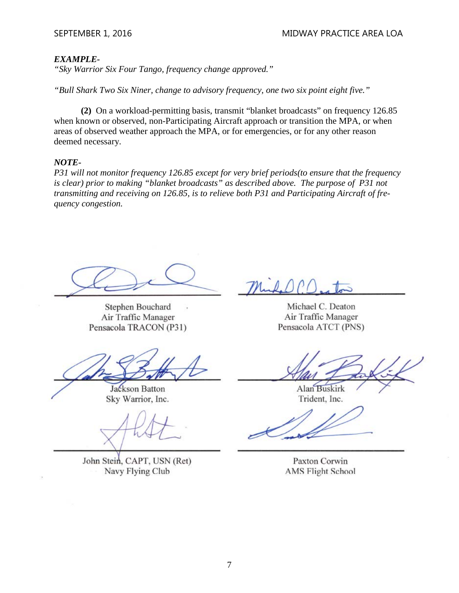#### *EXAMPLE-*

*"Sky Warrior Six Four Tango, frequency change approved."*

*"Bull Shark Two Six Niner, change to advisory frequency, one two six point eight five."* 

**(2)** On a workload-permitting basis, transmit "blanket broadcasts" on frequency 126.85 when known or observed, non-Participating Aircraft approach or transition the MPA, or when areas of observed weather approach the MPA, or for emergencies, or for any other reason deemed necessary.

#### *NOTE-*

*P31 will not monitor frequency 126.85 except for very brief periods(to ensure that the frequency is clear) prior to making "blanket broadcasts" as described above. The purpose of P31 not transmitting and receiving on 126.85, is to relieve both P31 and Participating Aircraft of frequency congestion.*

 $\left( \begin{array}{c} \end{array} \right)$  $\overline{\phantom{a}}$ Pensacola TRACON (P31)

**Stephen Bouchard** Air Traffic Manager Pensacola TRACON (P31)

 $\mathscr{A}$  $X \rightarrow \mathbb{R}$ 

Jackson Batton Sky Warrior, Inc.

 $\sqrt{11111}$  $X$  /  $G$ 

John Stein, CAPT, USN (Ret) Navy Flying Club

 $\overline{\mathbf{A}}$  $\mathcal{D}(\mathcal{P})$ , to  $\epsilon$ 

Air Traffic Manager Pensacola ATCT (PNS)

 $\frac{1}{2}$  $\mathcal{A}$ 

Alan Buskirk Trident, Inc.

 $\mathscr{M}$  $\overline{\phantom{a}}$ 

Paxton Corwin **AMS Flight School**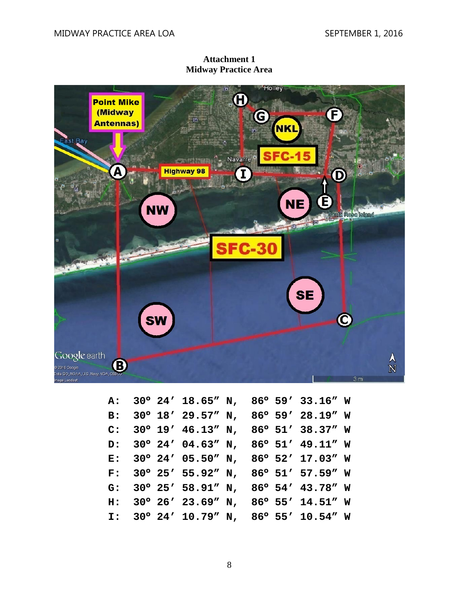**Attachment 1 Midway Practice Area**



|  |  |  | A: 30° 24' 18.65" N, 86° 59' 33.16" W                    |  |
|--|--|--|----------------------------------------------------------|--|
|  |  |  | B: 30° 18' 29.57" N, 86° 59' 28.19" W                    |  |
|  |  |  | C: $30^{\circ}$ 19' 46.13" N, 86 $^{\circ}$ 51' 38.37" W |  |
|  |  |  | D: 30° 24' 04.63" N, 86° 51' 49.11" W                    |  |
|  |  |  | E: 30° 24' 05.50" N, 86° 52' 17.03" W                    |  |
|  |  |  | F: $30^{\circ}$ 25' 55.92" N, 86 $^{\circ}$ 51' 57.59" W |  |
|  |  |  | G: 30° 25' 58.91" N, 86° 54' 43.78" W                    |  |
|  |  |  | H: 30° 26' 23.69" N, 86° 55' 14.51" W                    |  |
|  |  |  | I: 30° 24' 10.79" N, 86° 55' 10.54" W                    |  |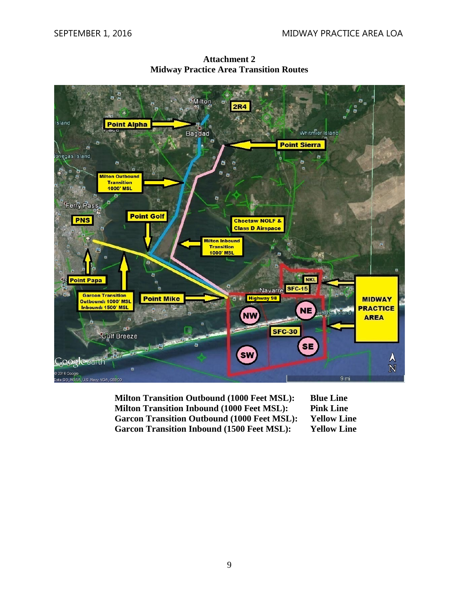

**Attachment 2 Midway Practice Area Transition Routes**

**Milton Transition Outbound (1000 Feet MSL): Blue Line Milton Transition Inbound (1000 Feet MSL): Pink Line Garcon Transition Outbound (1000 Feet MSL): Yellow Line Garcon Transition Inbound (1500 Feet MSL): Yellow Line**